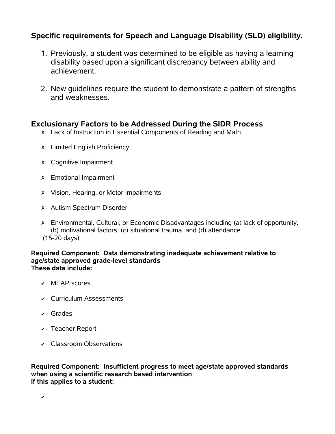# **Specific requirements for Speech and Language Disability (SLD) eligibility.**

- 1. Previously, a student was determined to be eligible as having a learning disability based upon a significant discrepancy between ability and achievement.
- 2. New guidelines require the student to demonstrate a pattern of strengths and weaknesses.

# **Exclusionary Factors to be Addressed During the SIDR Process**

- ✗ Lack of Instruction in Essential Components of Reading and Math
- ✗ Limited English Proficiency
- ✗ Cognitive Impairment
- ✗ Emotional Impairment
- ✗ Vision, Hearing, or Motor Impairments
- ✗ Autism Spectrum Disorder
- ✗ Environmental, Cultural, or Economic Disadvantages including (a) lack of opportunity, (b) motivational factors, (c) situational trauma, and (d) attendance (15-20 days)

### **Required Component: Data demonstrating inadequate achievement relative to age/state approved grade-level standards These data include:**

- ✔ MEAP scores
- ✔ Curriculum Assessments
- ✔ Grades
- ✔ Teacher Report
- ✔ Classroom Observations

**Required Component: Insufficient progress to meet age/state approved standards when using a scientific research based intervention If this applies to a student:**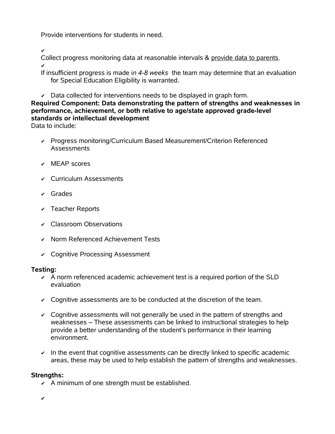Provide interventions for students in need.

✔

Collect progress monitoring data at reasonable intervals & provide data to parents. ✔

If insufficient progress is made i*n 4-8 weeks* the team may determine that an evaluation for Special Education Eligibility is warranted.

 $\triangledown$  Data collected for interventions needs to be displayed in graph form.

# **Required Component: Data demonstrating the pattern of strengths and weaknesses in performance, achievement, or both relative to age/state approved grade-level standards or intellectual development**

Data to include:

- ✔ Progress monitoring/Curriculum Based Measurement/Criterion Referenced **Assessments**
- ✔ MEAP scores
- ✔ Curriculum Assessments
- ✔ Grades
- ✔ Teacher Reports
- ✔ Classroom Observations
- ✔ Norm Referenced Achievement Tests
- ✔ Cognitive Processing Assessment

# **Testing:**

- $\sim$  A norm referenced academic achievement test is a required portion of the SLD evaluation
- $\sim$  Cognitive assessments are to be conducted at the discretion of the team.
- $\sim$  Cognitive assessments will not generally be used in the pattern of strengths and weaknesses – These assessments can be linked to instructional strategies to help provide a better understanding of the student's performance in their learning environment.
- $\sim$  In the event that cognitive assessments can be directly linked to specific academic areas, these may be used to help establish the pattern of strengths and weaknesses.

# **Strengths:**

 $\sim$  A minimum of one strength must be established.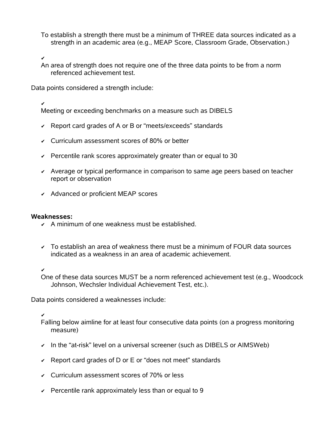To establish a strength there must be a minimum of THREE data sources indicated as a strength in an academic area (e.g., MEAP Score, Classroom Grade, Observation.)

✔

An area of strength does not require one of the three data points to be from a norm referenced achievement test.

Data points considered a strength include:

✔

Meeting or exceeding benchmarks on a measure such as DIBELS

- ✔ Report card grades of A or B or "meets/exceeds" standards
- ✔ Curriculum assessment scores of 80% or better
- $\sim$  Percentile rank scores approximately greater than or equal to 30
- ✔ Average or typical performance in comparison to same age peers based on teacher report or observation
- ✔ Advanced or proficient MEAP scores

#### **Weaknesses:**

- $\lambda$  A minimum of one weakness must be established.
- $\sim$  To establish an area of weakness there must be a minimum of FOUR data sources indicated as a weakness in an area of academic achievement.

✔

One of these data sources MUST be a norm referenced achievement test (e.g., Woodcock Johnson, Wechsler Individual Achievement Test, etc.).

Data points considered a weaknesses include:

### ✔

Falling below aimline for at least four consecutive data points (on a progress monitoring measure)

- ✔ In the "at-risk" level on a universal screener (such as DIBELS or AIMSWeb)
- $\overline{\phantom{a}}$  Report card grades of D or E or "does not meet" standards
- ✔ Curriculum assessment scores of 70% or less
- $\sim$  Percentile rank approximately less than or equal to 9